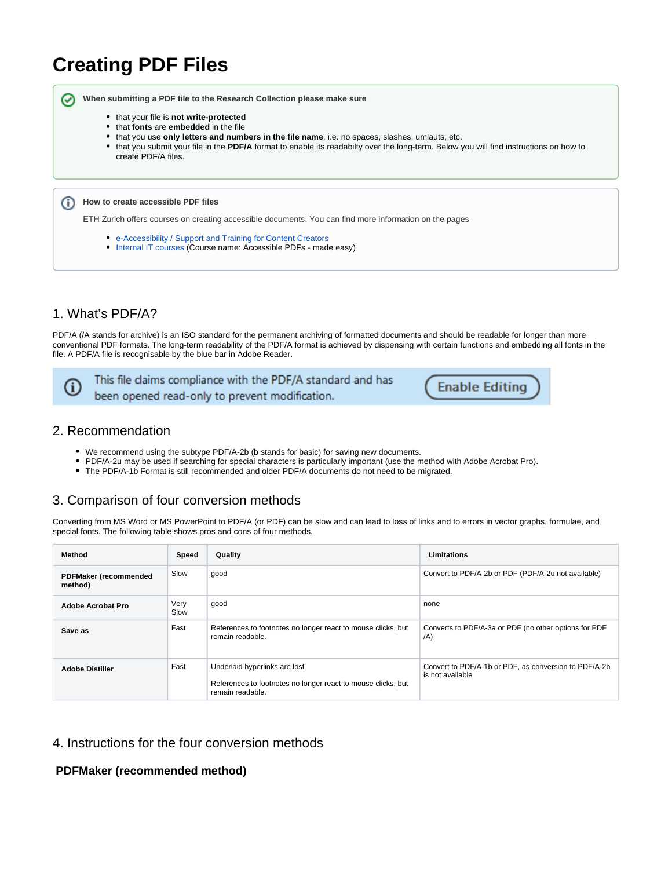# **Creating PDF Files**

**When submitting a PDF file to the Research Collection please make sure**

- **•** that your file is not write-protected
- that **fonts** are **embedded** in the file
- that you use **only letters and numbers in the file name**, i.e. no spaces, slashes, umlauts, etc.
- that you submit your file in the **PDF/A** format to enable its readabilty over the long-term. Below you will find instructions on how to create PDF/A files.

**How to create accessible PDF files**

ETH Zurich offers courses on creating accessible documents. You can find more information on the pages

- [e-Accessibility / Support and Training for Content Creators](https://ethz.ch/de/die-eth-zuerich/lehre/e-accessibility/support/for-content-creators.html)
- [Internal IT courses](https://ethz.ch/services/en/it-services/catalogue/support-training/it-training/courses.html) (Course name: Accessible PDFs made easy)

## 1. What's PDF/A?

PDF/A (/A stands for archive) is an ISO standard for the permanent archiving of formatted documents and should be readable for longer than more conventional PDF formats. The long-term readability of the PDF/A format is achieved by dispensing with certain functions and embedding all fonts in the file. A PDF/A file is recognisable by the blue bar in Adobe Reader.



の

This file claims compliance with the PDF/A standard and has been opened read-only to prevent modification.

**Enable Editing** 

#### 2. Recommendation

- We recommend using the subtype PDF/A-2b (b stands for basic) for saving new documents.
- PDF/A-2u may be used if searching for special characters is particularly important (use the method with Adobe Acrobat Pro).
- The PDF/A-1b Format is still recommended and older PDF/A documents do not need to be migrated.

## 3. Comparison of four conversion methods

Converting from MS Word or MS PowerPoint to PDF/A (or PDF) can be slow and can lead to loss of links and to errors in vector graphs, formulae, and special fonts. The following table shows pros and cons of four methods.

| Method                                  | Speed        | Quality                                                                                                           | <b>Limitations</b>                                                        |
|-----------------------------------------|--------------|-------------------------------------------------------------------------------------------------------------------|---------------------------------------------------------------------------|
| <b>PDFMaker (recommended</b><br>method) | Slow         | good                                                                                                              | Convert to PDF/A-2b or PDF (PDF/A-2u not available)                       |
| Adobe Acrobat Pro                       | Very<br>Slow | qood                                                                                                              | none                                                                      |
| Save as                                 | Fast         | References to footnotes no longer react to mouse clicks, but<br>remain readable.                                  | Converts to PDF/A-3a or PDF (no other options for PDF<br>(A)              |
| <b>Adobe Distiller</b>                  | Fast         | Underlaid hyperlinks are lost<br>References to footnotes no longer react to mouse clicks, but<br>remain readable. | Convert to PDF/A-1b or PDF, as conversion to PDF/A-2b<br>is not available |

#### 4. Instructions for the four conversion methods

**PDFMaker (recommended method)**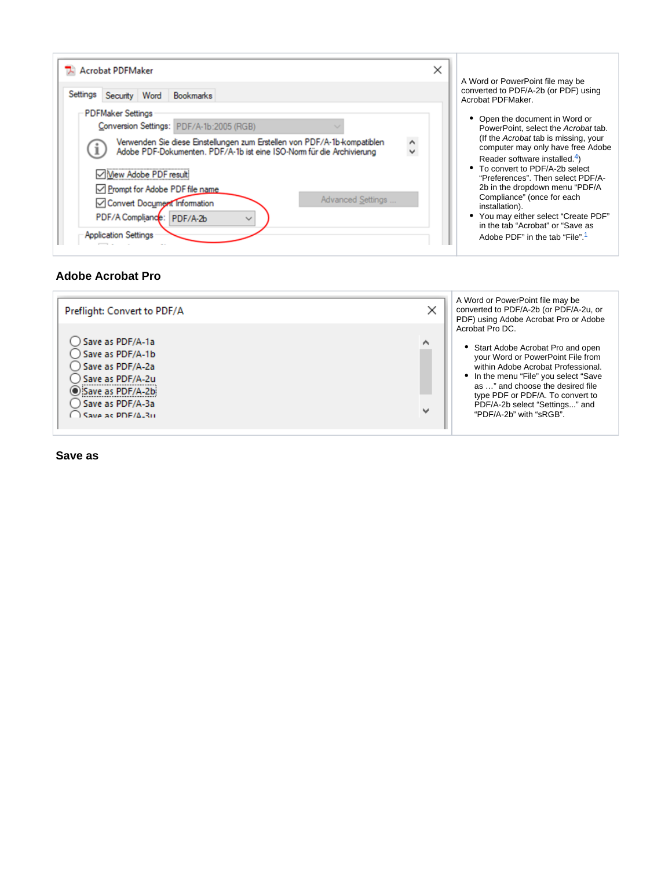| Settings<br>Security Word | <b>Bookmarks</b>                                                                                                     |          | A Word or PowerPoint file may be<br>converted to PDF/A-2b (or PDF) using<br>Acrobat PDFMaker.                 |
|---------------------------|----------------------------------------------------------------------------------------------------------------------|----------|---------------------------------------------------------------------------------------------------------------|
| <b>PDFMaker Settings</b>  | Conversion Settings: PDF/A-1b:2005 (RGB)<br>Verwenden Sie diese Einstellungen zum Erstellen von PDF/A-1b-kompatiblen | $\wedge$ | • Open the document in Word or<br>PowerPoint, select the Acrobat tab.<br>(If the Acrobat tab is missing, your |

#### <span id="page-1-0"></span>**Adobe Acrobat Pro**



**Save as**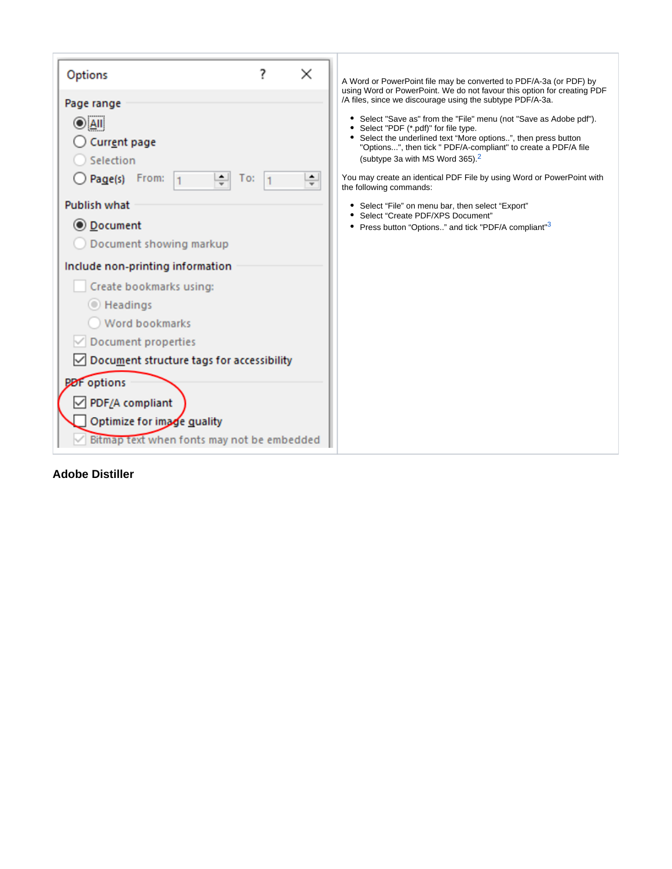<span id="page-2-1"></span><span id="page-2-0"></span>

| Options                                    | ? | × | A Word or PowerPoint file may be converted to PDF/A-3a (or PDF) by<br>using Word or PowerPoint. We do not favour this option for creating PDF |  |  |
|--------------------------------------------|---|---|-----------------------------------------------------------------------------------------------------------------------------------------------|--|--|
| Page range                                 |   |   | /A files, since we discourage using the subtype PDF/A-3a.                                                                                     |  |  |
| )  All                                     |   |   | • Select "Save as" from the "File" menu (not "Save as Adobe pdf").<br>• Select "PDF (*.pdf)" for file type.                                   |  |  |
| Current page                               |   |   | • Select the underlined text "More options", then press button                                                                                |  |  |
| Selection                                  |   |   | "Options", then tick " PDF/A-compliant" to create a PDF/A file<br>(subtype 3a with MS Word 365). <sup>2</sup>                                 |  |  |
| Page(s) From:<br>$\div$<br>10:             |   |   | You may create an identical PDF File by using Word or PowerPoint with<br>the following commands:                                              |  |  |
| <b>Publish what</b>                        |   |   | • Select "File" on menu bar, then select "Export"                                                                                             |  |  |
| ◎ Document                                 |   |   | • Select "Create PDF/XPS Document"<br>• Press button "Options" and tick "PDF/A compliant" <sup>3</sup>                                        |  |  |
| Document showing markup                    |   |   |                                                                                                                                               |  |  |
| Include non-printing information           |   |   |                                                                                                                                               |  |  |
| Create bookmarks using:                    |   |   |                                                                                                                                               |  |  |
| <b>Exercise</b>                            |   |   |                                                                                                                                               |  |  |
| <b>Word bookmarks</b>                      |   |   |                                                                                                                                               |  |  |
| <b>Document properties</b>                 |   |   |                                                                                                                                               |  |  |
| Document structure tags for accessibility  |   |   |                                                                                                                                               |  |  |
| <b>PDF</b> options                         |   |   |                                                                                                                                               |  |  |
| PDF/A compliant                            |   |   |                                                                                                                                               |  |  |
| Optimize for image quality                 |   |   |                                                                                                                                               |  |  |
| Bitmap text when fonts may not be embedded |   |   |                                                                                                                                               |  |  |
|                                            |   |   |                                                                                                                                               |  |  |

## **Adobe Distiller**